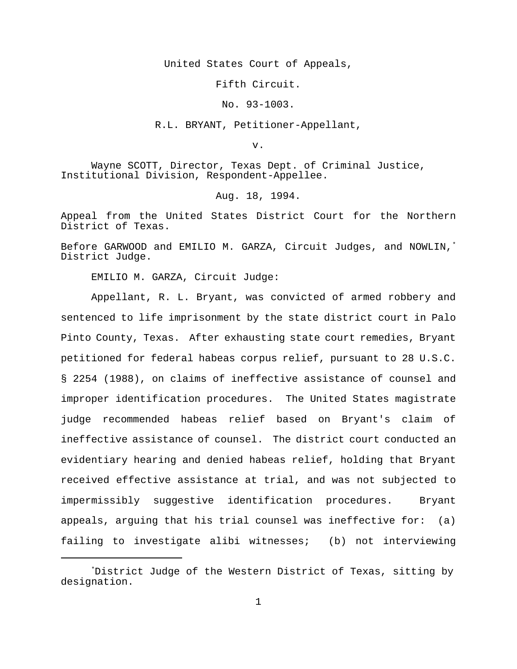United States Court of Appeals,

Fifth Circuit.

No. 93-1003.

R.L. BRYANT, Petitioner-Appellant,

v.

Wayne SCOTT, Director, Texas Dept. of Criminal Justice, Institutional Division, Respondent-Appellee.

Aug. 18, 1994.

Appeal from the United States District Court for the Northern District of Texas.

Before GARWOOD and EMILIO M. GARZA, Circuit Judges, and NOWLIN,\* District Judge.

EMILIO M. GARZA, Circuit Judge:

Appellant, R. L. Bryant, was convicted of armed robbery and sentenced to life imprisonment by the state district court in Palo Pinto County, Texas. After exhausting state court remedies, Bryant petitioned for federal habeas corpus relief, pursuant to 28 U.S.C. § 2254 (1988), on claims of ineffective assistance of counsel and improper identification procedures. The United States magistrate judge recommended habeas relief based on Bryant's claim of ineffective assistance of counsel. The district court conducted an evidentiary hearing and denied habeas relief, holding that Bryant received effective assistance at trial, and was not subjected to impermissibly suggestive identification procedures. Bryant appeals, arguing that his trial counsel was ineffective for: (a) failing to investigate alibi witnesses; (b) not interviewing

<sup>\*</sup>District Judge of the Western District of Texas, sitting by designation.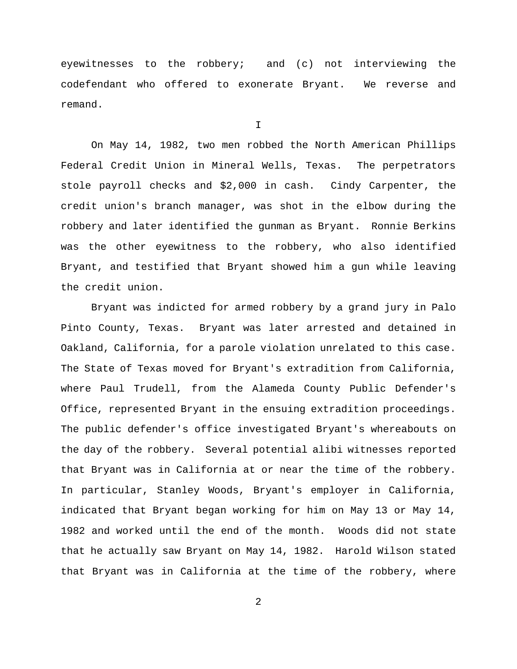eyewitnesses to the robbery; and (c) not interviewing the codefendant who offered to exonerate Bryant. We reverse and remand.

I

On May 14, 1982, two men robbed the North American Phillips Federal Credit Union in Mineral Wells, Texas. The perpetrators stole payroll checks and \$2,000 in cash. Cindy Carpenter, the credit union's branch manager, was shot in the elbow during the robbery and later identified the gunman as Bryant. Ronnie Berkins was the other eyewitness to the robbery, who also identified Bryant, and testified that Bryant showed him a gun while leaving the credit union.

Bryant was indicted for armed robbery by a grand jury in Palo Pinto County, Texas. Bryant was later arrested and detained in Oakland, California, for a parole violation unrelated to this case. The State of Texas moved for Bryant's extradition from California, where Paul Trudell, from the Alameda County Public Defender's Office, represented Bryant in the ensuing extradition proceedings. The public defender's office investigated Bryant's whereabouts on the day of the robbery. Several potential alibi witnesses reported that Bryant was in California at or near the time of the robbery. In particular, Stanley Woods, Bryant's employer in California, indicated that Bryant began working for him on May 13 or May 14, 1982 and worked until the end of the month. Woods did not state that he actually saw Bryant on May 14, 1982. Harold Wilson stated that Bryant was in California at the time of the robbery, where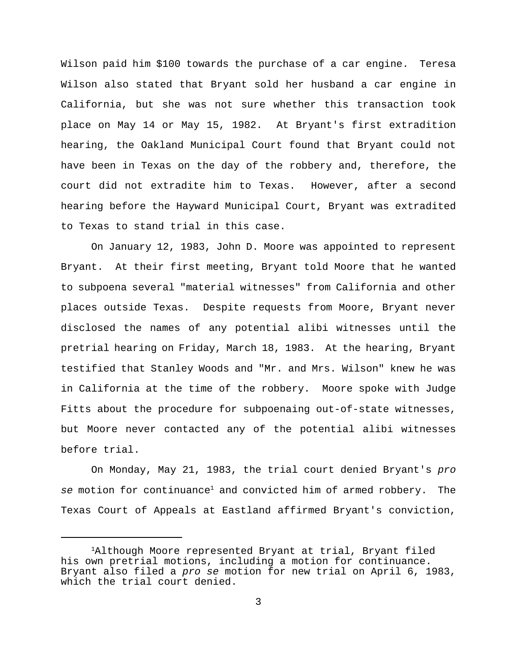Wilson paid him \$100 towards the purchase of a car engine. Teresa Wilson also stated that Bryant sold her husband a car engine in California, but she was not sure whether this transaction took place on May 14 or May 15, 1982. At Bryant's first extradition hearing, the Oakland Municipal Court found that Bryant could not have been in Texas on the day of the robbery and, therefore, the court did not extradite him to Texas. However, after a second hearing before the Hayward Municipal Court, Bryant was extradited to Texas to stand trial in this case.

On January 12, 1983, John D. Moore was appointed to represent Bryant. At their first meeting, Bryant told Moore that he wanted to subpoena several "material witnesses" from California and other places outside Texas. Despite requests from Moore, Bryant never disclosed the names of any potential alibi witnesses until the pretrial hearing on Friday, March 18, 1983. At the hearing, Bryant testified that Stanley Woods and "Mr. and Mrs. Wilson" knew he was in California at the time of the robbery. Moore spoke with Judge Fitts about the procedure for subpoenaing out-of-state witnesses, but Moore never contacted any of the potential alibi witnesses before trial.

On Monday, May 21, 1983, the trial court denied Bryant's *pro se* motion for continuance<sup>1</sup> and convicted him of armed robbery. The Texas Court of Appeals at Eastland affirmed Bryant's conviction,

<sup>1</sup>Although Moore represented Bryant at trial, Bryant filed his own pretrial motions, including a motion for continuance. Bryant also filed a *pro se* motion for new trial on April 6, 1983, which the trial court denied.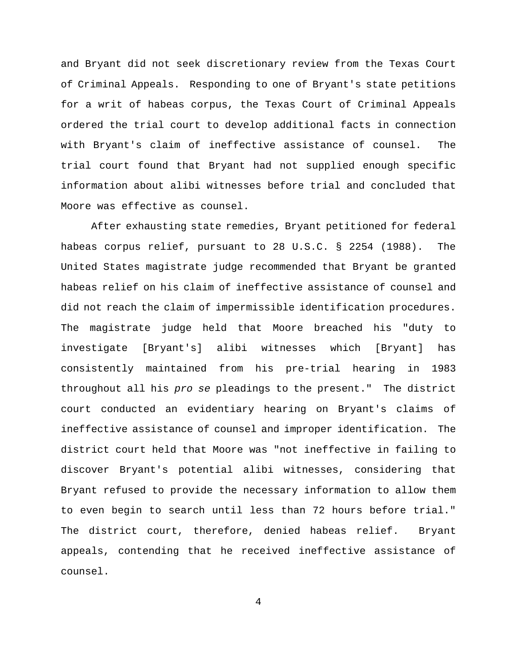and Bryant did not seek discretionary review from the Texas Court of Criminal Appeals. Responding to one of Bryant's state petitions for a writ of habeas corpus, the Texas Court of Criminal Appeals ordered the trial court to develop additional facts in connection with Bryant's claim of ineffective assistance of counsel. The trial court found that Bryant had not supplied enough specific information about alibi witnesses before trial and concluded that Moore was effective as counsel.

After exhausting state remedies, Bryant petitioned for federal habeas corpus relief, pursuant to 28 U.S.C. § 2254 (1988). The United States magistrate judge recommended that Bryant be granted habeas relief on his claim of ineffective assistance of counsel and did not reach the claim of impermissible identification procedures. The magistrate judge held that Moore breached his "duty to investigate [Bryant's] alibi witnesses which [Bryant] has consistently maintained from his pre-trial hearing in 1983 throughout all his *pro se* pleadings to the present." The district court conducted an evidentiary hearing on Bryant's claims of ineffective assistance of counsel and improper identification. The district court held that Moore was "not ineffective in failing to discover Bryant's potential alibi witnesses, considering that Bryant refused to provide the necessary information to allow them to even begin to search until less than 72 hours before trial." The district court, therefore, denied habeas relief. Bryant appeals, contending that he received ineffective assistance of counsel.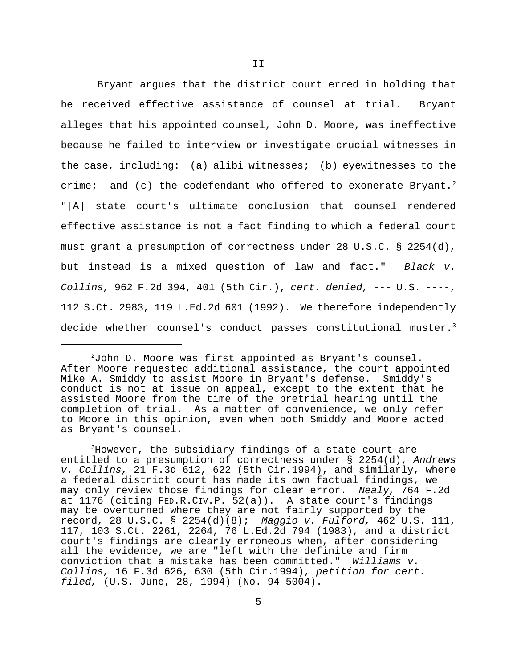Bryant argues that the district court erred in holding that he received effective assistance of counsel at trial. Bryant alleges that his appointed counsel, John D. Moore, was ineffective because he failed to interview or investigate crucial witnesses in the case, including: (a) alibi witnesses; (b) eyewitnesses to the crime; and (c) the codefendant who offered to exonerate Bryant.<sup>2</sup> "[A] state court's ultimate conclusion that counsel rendered effective assistance is not a fact finding to which a federal court must grant a presumption of correctness under 28 U.S.C. § 2254(d), but instead is a mixed question of law and fact." *Black v. Collins,* 962 F.2d 394, 401 (5th Cir.), *cert. denied,* --- U.S. ----, 112 S.Ct. 2983, 119 L.Ed.2d 601 (1992). We therefore independently decide whether counsel's conduct passes constitutional muster.<sup>3</sup>

<sup>3</sup>However, the subsidiary findings of a state court are entitled to a presumption of correctness under § 2254(d), *Andrews v. Collins,* 21 F.3d 612, 622 (5th Cir.1994), and similarly, where a federal district court has made its own factual findings, we may only review those findings for clear error. *Nealy,* 764 F.2d at 1176 (citing FED.R.CIV.P. 52(a)). A state court's findings may be overturned where they are not fairly supported by the record, 28 U.S.C. § 2254(d)(8); *Maggio v. Fulford,* 462 U.S. 111, 117, 103 S.Ct. 2261, 2264, 76 L.Ed.2d 794 (1983), and a district court's findings are clearly erroneous when, after considering all the evidence, we are "left with the definite and firm conviction that a mistake has been committed." *Williams v. Collins,* 16 F.3d 626, 630 (5th Cir.1994), *petition for cert. filed,* (U.S. June, 28, 1994) (No. 94-5004).

 $^{2}$ John D. Moore was first appointed as Bryant's counsel. After Moore requested additional assistance, the court appointed Mike A. Smiddy to assist Moore in Bryant's defense. Smiddy's conduct is not at issue on appeal, except to the extent that he assisted Moore from the time of the pretrial hearing until the completion of trial. As a matter of convenience, we only refer to Moore in this opinion, even when both Smiddy and Moore acted as Bryant's counsel.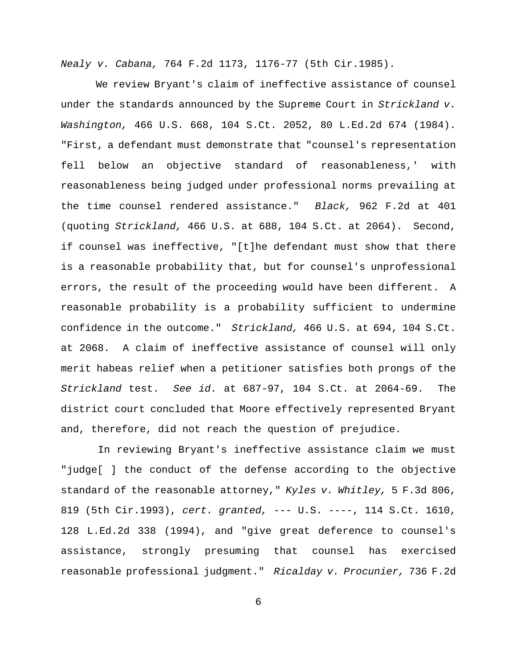*Nealy v. Cabana,* 764 F.2d 1173, 1176-77 (5th Cir.1985).

We review Bryant's claim of ineffective assistance of counsel under the standards announced by the Supreme Court in *Strickland v. Washington,* 466 U.S. 668, 104 S.Ct. 2052, 80 L.Ed.2d 674 (1984). "First, a defendant must demonstrate that "counsel's representation fell below an objective standard of reasonableness,' with reasonableness being judged under professional norms prevailing at the time counsel rendered assistance." *Black,* 962 F.2d at 401 (quoting *Strickland,* 466 U.S. at 688, 104 S.Ct. at 2064). Second, if counsel was ineffective, "[t]he defendant must show that there is a reasonable probability that, but for counsel's unprofessional errors, the result of the proceeding would have been different. A reasonable probability is a probability sufficient to undermine confidence in the outcome." *Strickland,* 466 U.S. at 694, 104 S.Ct. at 2068. A claim of ineffective assistance of counsel will only merit habeas relief when a petitioner satisfies both prongs of the *Strickland* test. *See id.* at 687-97, 104 S.Ct. at 2064-69. The district court concluded that Moore effectively represented Bryant and, therefore, did not reach the question of prejudice.

 In reviewing Bryant's ineffective assistance claim we must "judge[ ] the conduct of the defense according to the objective standard of the reasonable attorney," *Kyles v. Whitley,* 5 F.3d 806, 819 (5th Cir.1993), *cert. granted,* --- U.S. ----, 114 S.Ct. 1610, 128 L.Ed.2d 338 (1994), and "give great deference to counsel's assistance, strongly presuming that counsel has exercised reasonable professional judgment." *Ricalday v. Procunier,* 736 F.2d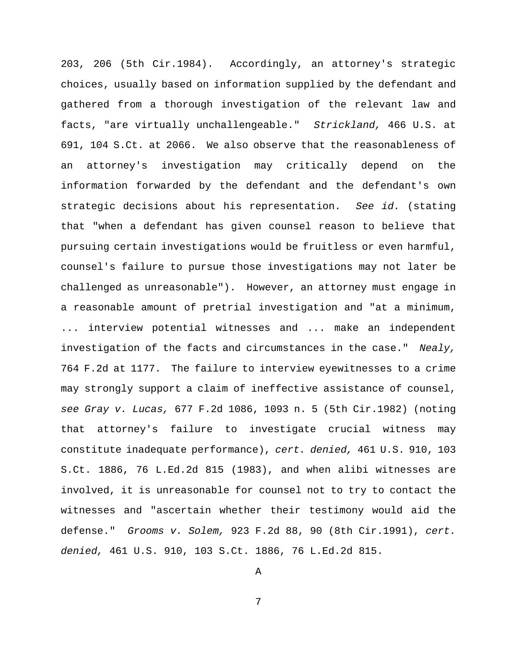203, 206 (5th Cir.1984). Accordingly, an attorney's strategic choices, usually based on information supplied by the defendant and gathered from a thorough investigation of the relevant law and facts, "are virtually unchallengeable." *Strickland,* 466 U.S. at 691, 104 S.Ct. at 2066. We also observe that the reasonableness of an attorney's investigation may critically depend on the information forwarded by the defendant and the defendant's own strategic decisions about his representation. *See id.* (stating that "when a defendant has given counsel reason to believe that pursuing certain investigations would be fruitless or even harmful, counsel's failure to pursue those investigations may not later be challenged as unreasonable"). However, an attorney must engage in a reasonable amount of pretrial investigation and "at a minimum, ... interview potential witnesses and ... make an independent investigation of the facts and circumstances in the case." *Nealy,* 764 F.2d at 1177. The failure to interview eyewitnesses to a crime may strongly support a claim of ineffective assistance of counsel, *see Gray v. Lucas,* 677 F.2d 1086, 1093 n. 5 (5th Cir.1982) (noting that attorney's failure to investigate crucial witness may constitute inadequate performance), *cert. denied,* 461 U.S. 910, 103 S.Ct. 1886, 76 L.Ed.2d 815 (1983), and when alibi witnesses are involved, it is unreasonable for counsel not to try to contact the witnesses and "ascertain whether their testimony would aid the defense." *Grooms v. Solem,* 923 F.2d 88, 90 (8th Cir.1991), *cert. denied,* 461 U.S. 910, 103 S.Ct. 1886, 76 L.Ed.2d 815.

A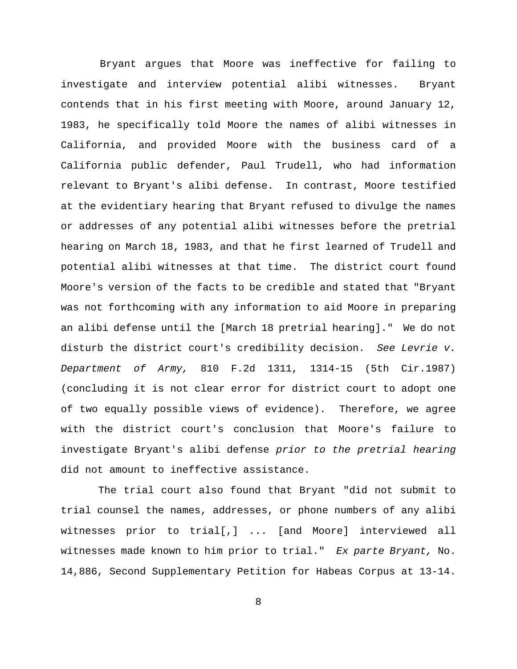Bryant argues that Moore was ineffective for failing to investigate and interview potential alibi witnesses. Bryant contends that in his first meeting with Moore, around January 12, 1983, he specifically told Moore the names of alibi witnesses in California, and provided Moore with the business card of a California public defender, Paul Trudell, who had information relevant to Bryant's alibi defense. In contrast, Moore testified at the evidentiary hearing that Bryant refused to divulge the names or addresses of any potential alibi witnesses before the pretrial hearing on March 18, 1983, and that he first learned of Trudell and potential alibi witnesses at that time. The district court found Moore's version of the facts to be credible and stated that "Bryant was not forthcoming with any information to aid Moore in preparing an alibi defense until the [March 18 pretrial hearing]." We do not disturb the district court's credibility decision. *See Levrie v. Department of Army,* 810 F.2d 1311, 1314-15 (5th Cir.1987) (concluding it is not clear error for district court to adopt one of two equally possible views of evidence). Therefore, we agree with the district court's conclusion that Moore's failure to investigate Bryant's alibi defense *prior to the pretrial hearing* did not amount to ineffective assistance.

The trial court also found that Bryant "did not submit to trial counsel the names, addresses, or phone numbers of any alibi witnesses prior to trial[,] ... [and Moore] interviewed all witnesses made known to him prior to trial." *Ex parte Bryant,* No. 14,886, Second Supplementary Petition for Habeas Corpus at 13-14.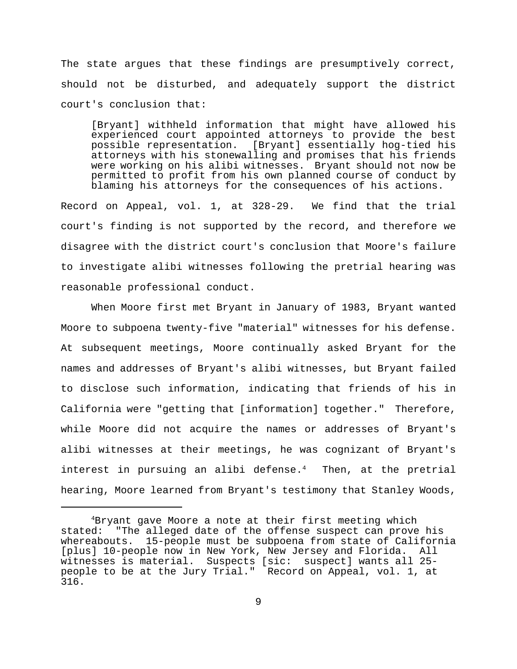The state argues that these findings are presumptively correct, should not be disturbed, and adequately support the district court's conclusion that:

[Bryant] withheld information that might have allowed his experienced court appointed attorneys to provide the best possible representation. [Bryant] essentially hog-tied his attorneys with his stonewalling and promises that his friends were working on his alibi witnesses. Bryant should not now be permitted to profit from his own planned course of conduct by blaming his attorneys for the consequences of his actions.

Record on Appeal, vol. 1, at 328-29. We find that the trial court's finding is not supported by the record, and therefore we disagree with the district court's conclusion that Moore's failure to investigate alibi witnesses following the pretrial hearing was reasonable professional conduct.

When Moore first met Bryant in January of 1983, Bryant wanted Moore to subpoena twenty-five "material" witnesses for his defense. At subsequent meetings, Moore continually asked Bryant for the names and addresses of Bryant's alibi witnesses, but Bryant failed to disclose such information, indicating that friends of his in California were "getting that [information] together." Therefore, while Moore did not acquire the names or addresses of Bryant's alibi witnesses at their meetings, he was cognizant of Bryant's interest in pursuing an alibi defense. $4$  Then, at the pretrial hearing, Moore learned from Bryant's testimony that Stanley Woods,

<sup>4</sup>Bryant gave Moore a note at their first meeting which stated: "The alleged date of the offense suspect can prove his whereabouts. 15-people must be subpoena from state of California [plus] 10-people now in New York, New Jersey and Florida. All witnesses is material. Suspects [sic: suspect] wants all 25 people to be at the Jury Trial." Record on Appeal, vol. 1, at 316.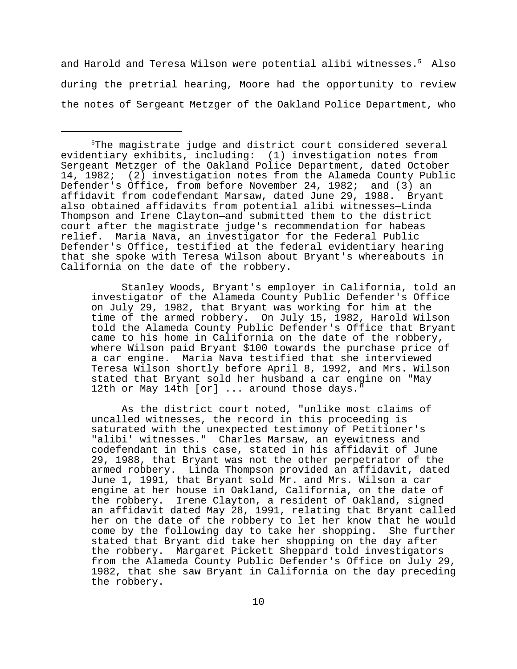and Harold and Teresa Wilson were potential alibi witnesses.<sup>5</sup> Also during the pretrial hearing, Moore had the opportunity to review the notes of Sergeant Metzger of the Oakland Police Department, who

Stanley Woods, Bryant's employer in California, told an investigator of the Alameda County Public Defender's Office on July 29, 1982, that Bryant was working for him at the time of the armed robbery. On July 15, 1982, Harold Wilson told the Alameda County Public Defender's Office that Bryant came to his home in California on the date of the robbery, where Wilson paid Bryant \$100 towards the purchase price of a car engine. Maria Nava testified that she interviewed Teresa Wilson shortly before April 8, 1992, and Mrs. Wilson stated that Bryant sold her husband a car engine on "May 12th or May 14th [or] ... around those days."

As the district court noted, "unlike most claims of uncalled witnesses, the record in this proceeding is saturated with the unexpected testimony of Petitioner's "alibi' witnesses." Charles Marsaw, an eyewitness and codefendant in this case, stated in his affidavit of June 29, 1988, that Bryant was not the other perpetrator of the armed robbery. Linda Thompson provided an affidavit, dated June 1, 1991, that Bryant sold Mr. and Mrs. Wilson a car engine at her house in Oakland, California, on the date of the robbery. Irene Clayton, a resident of Oakland, signed an affidavit dated May 28, 1991, relating that Bryant called her on the date of the robbery to let her know that he would come by the following day to take her shopping. She further stated that Bryant did take her shopping on the day after the robbery. Margaret Pickett Sheppard told investigators from the Alameda County Public Defender's Office on July 29, 1982, that she saw Bryant in California on the day preceding the robbery.

<sup>5</sup>The magistrate judge and district court considered several evidentiary exhibits, including: (1) investigation notes from Sergeant Metzger of the Oakland Police Department, dated October 14, 1982; (2) investigation notes from the Alameda County Public Defender's Office, from before November 24, 1982; and (3) an affidavit from codefendant Marsaw, dated June 29, 1988. Bryant also obtained affidavits from potential alibi witnesses—Linda Thompson and Irene Clayton—and submitted them to the district court after the magistrate judge's recommendation for habeas relief. Maria Nava, an investigator for the Federal Public Defender's Office, testified at the federal evidentiary hearing that she spoke with Teresa Wilson about Bryant's whereabouts in California on the date of the robbery.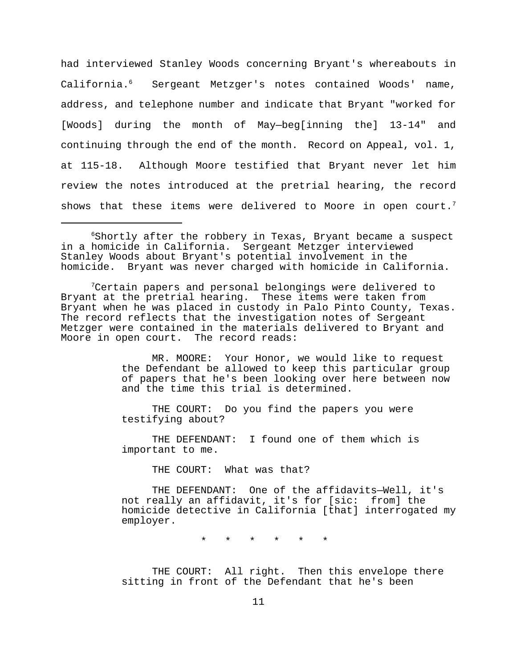had interviewed Stanley Woods concerning Bryant's whereabouts in California.<sup>6</sup> Sergeant Metzger's notes contained Woods' name, address, and telephone number and indicate that Bryant "worked for [Woods] during the month of May—beg[inning the] 13-14" and continuing through the end of the month. Record on Appeal, vol. 1, at 115-18. Although Moore testified that Bryant never let him review the notes introduced at the pretrial hearing, the record shows that these items were delivered to Moore in open court.<sup>7</sup>

<sup>7</sup>Certain papers and personal belongings were delivered to Bryant at the pretrial hearing. These items were taken from Bryant when he was placed in custody in Palo Pinto County, Texas. The record reflects that the investigation notes of Sergeant Metzger were contained in the materials delivered to Bryant and Moore in open court. The record reads:

> MR. MOORE: Your Honor, we would like to request the Defendant be allowed to keep this particular group of papers that he's been looking over here between now and the time this trial is determined.

THE COURT: Do you find the papers you were testifying about?

THE DEFENDANT: I found one of them which is important to me.

THE COURT: What was that?

THE DEFENDANT: One of the affidavits—Well, it's not really an affidavit, it's for [sic: from] the homicide detective in California [that] interrogated my employer.

\* \* \* \* \* \*

THE COURT: All right. Then this envelope there sitting in front of the Defendant that he's been

 $6$ Shortly after the robbery in Texas, Bryant became a suspect in a homicide in California. Sergeant Metzger interviewed Stanley Woods about Bryant's potential involvement in the homicide. Bryant was never charged with homicide in California.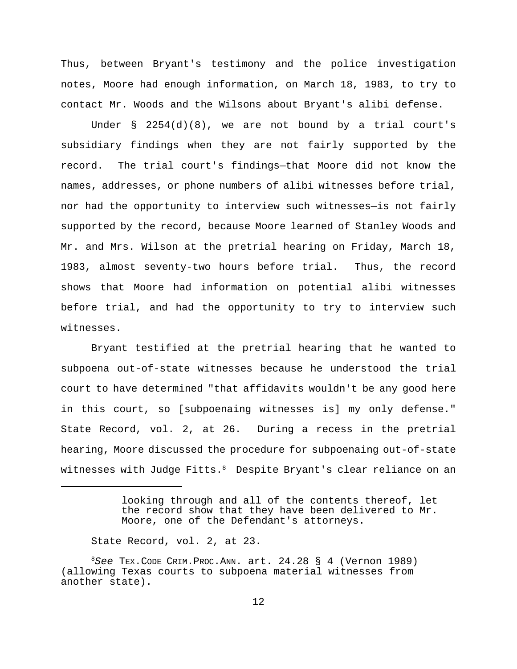Thus, between Bryant's testimony and the police investigation notes, Moore had enough information, on March 18, 1983, to try to contact Mr. Woods and the Wilsons about Bryant's alibi defense.

Under § 2254(d)(8), we are not bound by a trial court's subsidiary findings when they are not fairly supported by the record. The trial court's findings—that Moore did not know the names, addresses, or phone numbers of alibi witnesses before trial, nor had the opportunity to interview such witnesses—is not fairly supported by the record, because Moore learned of Stanley Woods and Mr. and Mrs. Wilson at the pretrial hearing on Friday, March 18, 1983, almost seventy-two hours before trial. Thus, the record shows that Moore had information on potential alibi witnesses before trial, and had the opportunity to try to interview such witnesses.

Bryant testified at the pretrial hearing that he wanted to subpoena out-of-state witnesses because he understood the trial court to have determined "that affidavits wouldn't be any good here in this court, so [subpoenaing witnesses is] my only defense." State Record, vol. 2, at 26. During a recess in the pretrial hearing, Moore discussed the procedure for subpoenaing out-of-state witnesses with Judge Fitts.8 Despite Bryant's clear reliance on an

State Record, vol. 2, at 23.

looking through and all of the contents thereof, let the record show that they have been delivered to Mr. Moore, one of the Defendant's attorneys.

<sup>8</sup>*See* TEX.CODE CRIM.PROC.ANN. art. 24.28 § 4 (Vernon 1989) (allowing Texas courts to subpoena material witnesses from another state).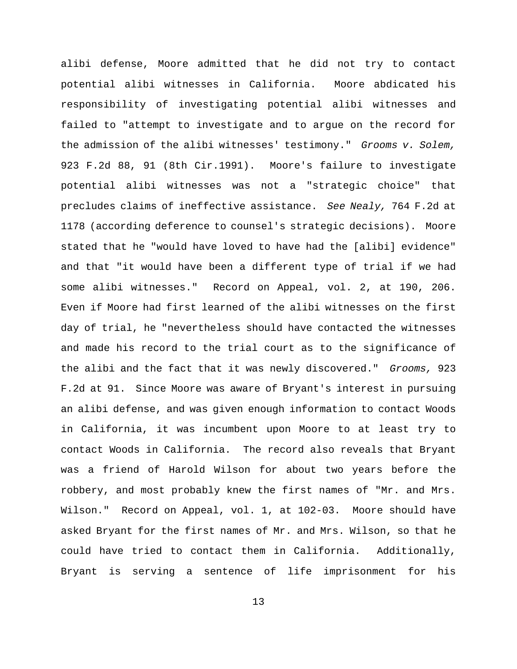alibi defense, Moore admitted that he did not try to contact potential alibi witnesses in California. Moore abdicated his responsibility of investigating potential alibi witnesses and failed to "attempt to investigate and to argue on the record for the admission of the alibi witnesses' testimony." *Grooms v. Solem,* 923 F.2d 88, 91 (8th Cir.1991). Moore's failure to investigate potential alibi witnesses was not a "strategic choice" that precludes claims of ineffective assistance. *See Nealy,* 764 F.2d at 1178 (according deference to counsel's strategic decisions). Moore stated that he "would have loved to have had the [alibi] evidence" and that "it would have been a different type of trial if we had some alibi witnesses." Record on Appeal, vol. 2, at 190, 206. Even if Moore had first learned of the alibi witnesses on the first day of trial, he "nevertheless should have contacted the witnesses and made his record to the trial court as to the significance of the alibi and the fact that it was newly discovered." *Grooms,* 923 F.2d at 91. Since Moore was aware of Bryant's interest in pursuing an alibi defense, and was given enough information to contact Woods in California, it was incumbent upon Moore to at least try to contact Woods in California. The record also reveals that Bryant was a friend of Harold Wilson for about two years before the robbery, and most probably knew the first names of "Mr. and Mrs. Wilson." Record on Appeal, vol. 1, at 102-03. Moore should have asked Bryant for the first names of Mr. and Mrs. Wilson, so that he could have tried to contact them in California. Additionally, Bryant is serving a sentence of life imprisonment for his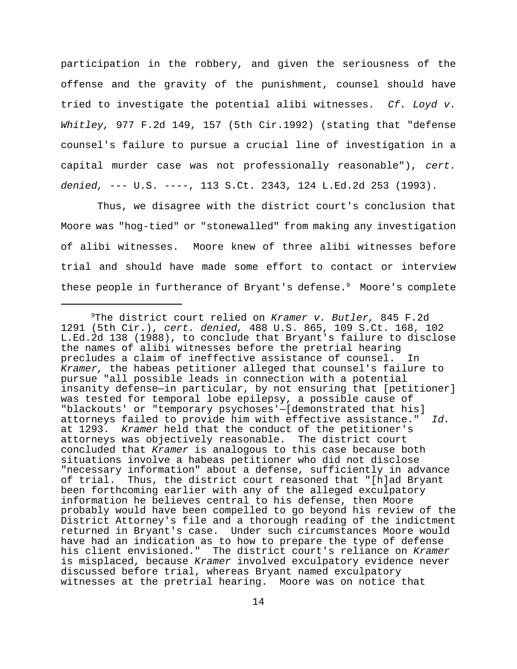participation in the robbery, and given the seriousness of the offense and the gravity of the punishment, counsel should have tried to investigate the potential alibi witnesses. *Cf. Loyd v. Whitley,* 977 F.2d 149, 157 (5th Cir.1992) (stating that "defense counsel's failure to pursue a crucial line of investigation in a capital murder case was not professionally reasonable"), *cert. denied,* --- U.S. ----, 113 S.Ct. 2343, 124 L.Ed.2d 253 (1993).

 Thus, we disagree with the district court's conclusion that Moore was "hog-tied" or "stonewalled" from making any investigation of alibi witnesses. Moore knew of three alibi witnesses before trial and should have made some effort to contact or interview these people in furtherance of Bryant's defense.<sup>9</sup> Moore's complete

<sup>9</sup>The district court relied on *Kramer v. Butler,* 845 F.2d 1291 (5th Cir.), *cert. denied,* 488 U.S. 865, 109 S.Ct. 168, 102 L.Ed.2d 138 (1988), to conclude that Bryant's failure to disclose the names of alibi witnesses before the pretrial hearing precludes a claim of ineffective assistance of counsel. In *Kramer,* the habeas petitioner alleged that counsel's failure to pursue "all possible leads in connection with a potential insanity defense—in particular, by not ensuring that [petitioner] was tested for temporal lobe epilepsy, a possible cause of "blackouts' or "temporary psychoses'—[demonstrated that his] attorneys failed to provide him with effective assistance." *Id.* at 1293. *Kramer* held that the conduct of the petitioner's attorneys was objectively reasonable. The district court concluded that *Kramer* is analogous to this case because both situations involve a habeas petitioner who did not disclose "necessary information" about a defense, sufficiently in advance of trial. Thus, the district court reasoned that "[h]ad Bryant been forthcoming earlier with any of the alleged exculpatory information he believes central to his defense, then Moore probably would have been compelled to go beyond his review of the District Attorney's file and a thorough reading of the indictment returned in Bryant's case. Under such circumstances Moore would have had an indication as to how to prepare the type of defense his client envisioned." The district court's reliance on *Kramer* is misplaced, because *Kramer* involved exculpatory evidence never discussed before trial, whereas Bryant named exculpatory witnesses at the pretrial hearing. Moore was on notice that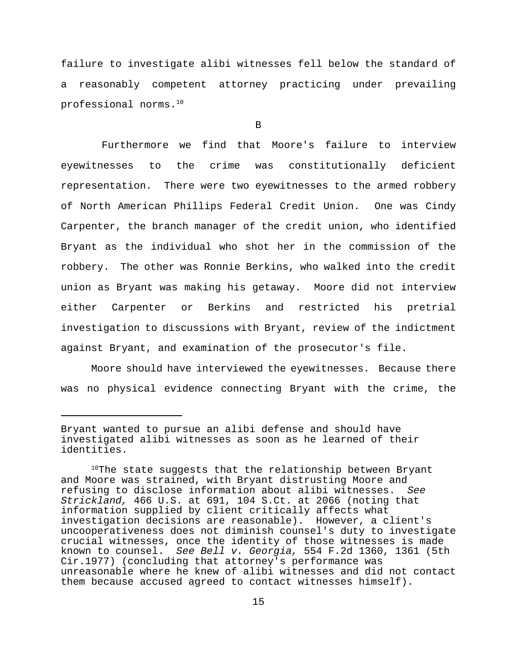failure to investigate alibi witnesses fell below the standard of a reasonably competent attorney practicing under prevailing professional norms.<sup>10</sup>

B

Furthermore we find that Moore's failure to interview eyewitnesses to the crime was constitutionally deficient representation. There were two eyewitnesses to the armed robbery of North American Phillips Federal Credit Union. One was Cindy Carpenter, the branch manager of the credit union, who identified Bryant as the individual who shot her in the commission of the robbery. The other was Ronnie Berkins, who walked into the credit union as Bryant was making his getaway. Moore did not interview either Carpenter or Berkins and restricted his pretrial investigation to discussions with Bryant, review of the indictment against Bryant, and examination of the prosecutor's file.

Moore should have interviewed the eyewitnesses. Because there was no physical evidence connecting Bryant with the crime, the

Bryant wanted to pursue an alibi defense and should have investigated alibi witnesses as soon as he learned of their identities.

 $10$ The state suggests that the relationship between Bryant and Moore was strained, with Bryant distrusting Moore and refusing to disclose information about alibi witnesses. *See Strickland,* 466 U.S. at 691, 104 S.Ct. at 2066 (noting that information supplied by client critically affects what investigation decisions are reasonable). However, a client's uncooperativeness does not diminish counsel's duty to investigate crucial witnesses, once the identity of those witnesses is made known to counsel. *See Bell v. Georgia,* 554 F.2d 1360, 1361 (5th Cir.1977) (concluding that attorney's performance was unreasonable where he knew of alibi witnesses and did not contact them because accused agreed to contact witnesses himself).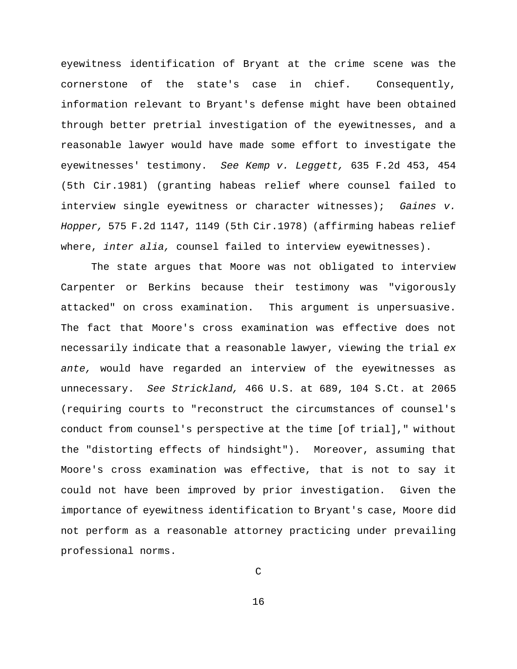eyewitness identification of Bryant at the crime scene was the cornerstone of the state's case in chief. Consequently, information relevant to Bryant's defense might have been obtained through better pretrial investigation of the eyewitnesses, and a reasonable lawyer would have made some effort to investigate the eyewitnesses' testimony. *See Kemp v. Leggett,* 635 F.2d 453, 454 (5th Cir.1981) (granting habeas relief where counsel failed to interview single eyewitness or character witnesses); *Gaines v. Hopper,* 575 F.2d 1147, 1149 (5th Cir.1978) (affirming habeas relief where, *inter alia,* counsel failed to interview eyewitnesses).

The state argues that Moore was not obligated to interview Carpenter or Berkins because their testimony was "vigorously attacked" on cross examination. This argument is unpersuasive. The fact that Moore's cross examination was effective does not necessarily indicate that a reasonable lawyer, viewing the trial *ex ante,* would have regarded an interview of the eyewitnesses as unnecessary. *See Strickland,* 466 U.S. at 689, 104 S.Ct. at 2065 (requiring courts to "reconstruct the circumstances of counsel's conduct from counsel's perspective at the time [of trial]," without the "distorting effects of hindsight"). Moreover, assuming that Moore's cross examination was effective, that is not to say it could not have been improved by prior investigation. Given the importance of eyewitness identification to Bryant's case, Moore did not perform as a reasonable attorney practicing under prevailing professional norms.

C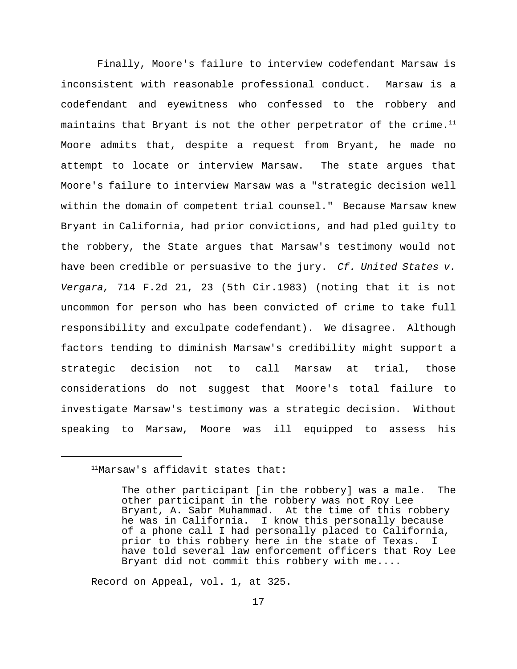Finally, Moore's failure to interview codefendant Marsaw is inconsistent with reasonable professional conduct. Marsaw is a codefendant and eyewitness who confessed to the robbery and maintains that Bryant is not the other perpetrator of the crime. $11$ Moore admits that, despite a request from Bryant, he made no attempt to locate or interview Marsaw. The state argues that Moore's failure to interview Marsaw was a "strategic decision well within the domain of competent trial counsel." Because Marsaw knew Bryant in California, had prior convictions, and had pled guilty to the robbery, the State argues that Marsaw's testimony would not have been credible or persuasive to the jury. *Cf. United States v. Vergara,* 714 F.2d 21, 23 (5th Cir.1983) (noting that it is not uncommon for person who has been convicted of crime to take full responsibility and exculpate codefendant). We disagree. Although factors tending to diminish Marsaw's credibility might support a strategic decision not to call Marsaw at trial, those considerations do not suggest that Moore's total failure to investigate Marsaw's testimony was a strategic decision. Without speaking to Marsaw, Moore was ill equipped to assess his

Record on Appeal, vol. 1, at 325.

<sup>11</sup>Marsaw's affidavit states that:

The other participant [in the robbery] was a male. The other participant in the robbery was not Roy Lee Bryant, A. Sabr Muhammad. At the time of this robbery he was in California. I know this personally because of a phone call I had personally placed to California, prior to this robbery here in the state of Texas. I have told several law enforcement officers that Roy Lee Bryant did not commit this robbery with me....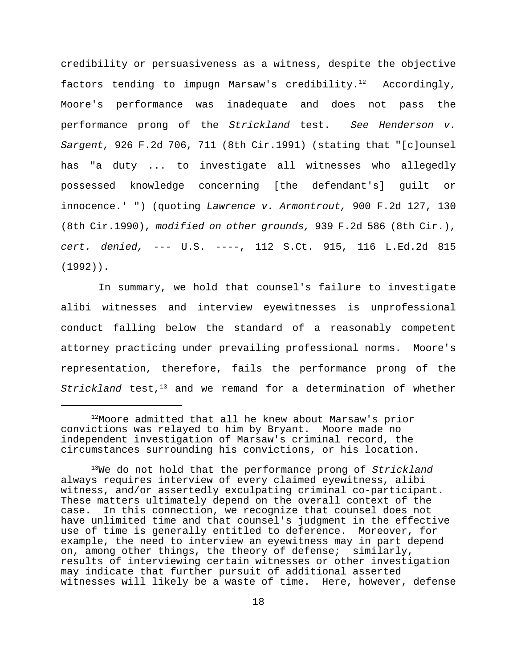credibility or persuasiveness as a witness, despite the objective factors tending to impugn Marsaw's credibility.<sup>12</sup> Accordingly, Moore's performance was inadequate and does not pass the performance prong of the *Strickland* test. *See Henderson v. Sargent,* 926 F.2d 706, 711 (8th Cir.1991) (stating that "[c]ounsel has "a duty ... to investigate all witnesses who allegedly possessed knowledge concerning [the defendant's] guilt or innocence.' ") (quoting *Lawrence v. Armontrout,* 900 F.2d 127, 130 (8th Cir.1990), *modified on other grounds,* 939 F.2d 586 (8th Cir.), *cert. denied,* --- U.S. ----, 112 S.Ct. 915, 116 L.Ed.2d 815 (1992)).

In summary, we hold that counsel's failure to investigate alibi witnesses and interview eyewitnesses is unprofessional conduct falling below the standard of a reasonably competent attorney practicing under prevailing professional norms. Moore's representation, therefore, fails the performance prong of the *Strickland* test,<sup>13</sup> and we remand for a determination of whether

<sup>12</sup>Moore admitted that all he knew about Marsaw's prior convictions was relayed to him by Bryant. Moore made no independent investigation of Marsaw's criminal record, the circumstances surrounding his convictions, or his location.

<sup>13</sup>We do not hold that the performance prong of *Strickland* always requires interview of every claimed eyewitness, alibi witness, and/or assertedly exculpating criminal co-participant. These matters ultimately depend on the overall context of the case. In this connection, we recognize that counsel does not have unlimited time and that counsel's judgment in the effective use of time is generally entitled to deference. Moreover, for example, the need to interview an eyewitness may in part depend on, among other things, the theory of defense; similarly, results of interviewing certain witnesses or other investigation may indicate that further pursuit of additional asserted witnesses will likely be a waste of time. Here, however, defense